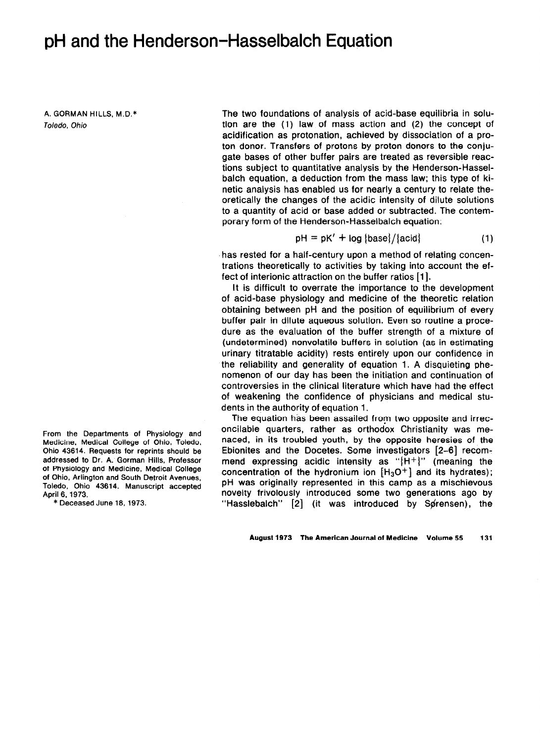## pH and the Henderson-Hasselbalch Equation

**A. GORMAN HILLS. M.D.\***  *Toledo, Ohio* 

**From the Departments of Physiology and Medicine, Medical College of Ohio, Toledo, Ohio 43614. Requests for reprints should be addressed to Dr. A. Gorman Hills, Professor of Physiology and Medicine, Medical College of Ohio, Arlington and South Detroit Avenues, Toledo, Ohio 43614. Manuscript accepted April 6, 1973.** 

**\* Deceased June 16,1973.** 

The two foundations of analysis of acid-base equilibria in solution are the (1) law of mass action and (2) the concept of acidification as protonation, achieved by dissociation of a proton donor. Transfers of protons by proton donors to the conjugate bases of other buffer pairs are treated as reversible reactions subject to quantitative analysis by the Henderson-Hasselbalch equation, a deduction from the mass law; this type of kinetic analysis has enabled us for nearly a century to relate theoretically the changes of the acidic intensity of dilute solutions to a quantity of acid or base added or subtracted. The contemporary form of the Henderson-Hasselbalch equation:

$$
pH = pK' + log {base} / {acid}
$$
 (1)

has rested for a half-century upon a method of relating concentrations theoretically to activities by taking into account the effect of interionic attraction on the buffer ratios [1].

It is difficult to overrate the importance to the development of acid-base physiology and medicine of the theoretic relation obtaining between pH and the position of equilibrium of every buffer pair in dilute aqueous solution. Even so routine a procedure as the evaluation of the buffer strength of a mixture of (undetermined) nonvolatile buffers in solution (as in estimating urinary titratable acidity) rests entirely upon our confidence in the reliability and generality of equation 1. A disquieting phenomenon of our day has been the initiation and continuation of controversies in the clinical literature which have had the effect of weakening the confidence of physicians and medical students in the authority of equation 1.

The equation has been assailed from two opposite and irreconcilable quarters, rather as orthodox Christianity was menaced, in its troubled youth, by the opposite heresies of the Ebionites and the Docetes. Some investigators [2-61 recommend expressing acidic intensity as " ${H^+}$ " (meaning the concentration of the hydronium ion  $[H_3O^+]$  and its hydrates); pH was originally represented in this camp as a mischievous novelty frivolously introduced some two generations ago by "Hasslebalch"  $[2]$  (it was introduced by Sprensen), the

**August 1973 The American Journal of Medicine Volume 55 131**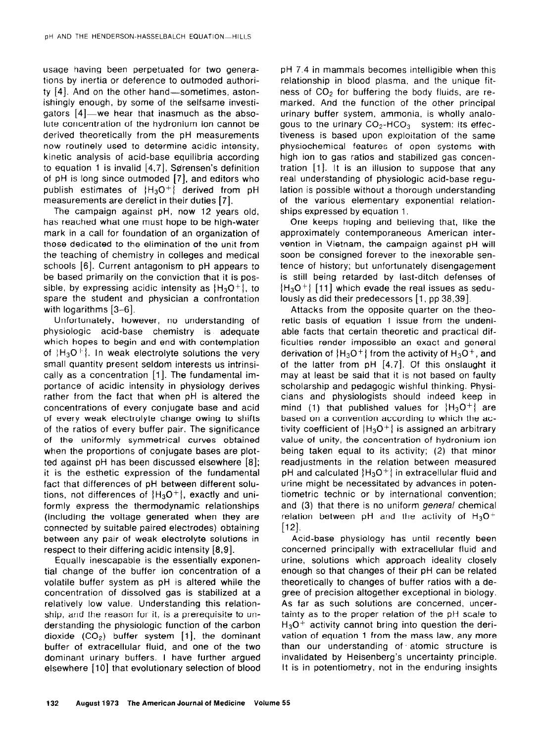usage having been perpetuated for two generations by inertia or deference to outmoded authority  $[4]$ . And on the other hand-sometimes, astonishingly enough, by some of the selfsame investigators  $[4]$ —we hear that inasmuch as the absolute concentration of the hydronium ion cannot be derived theoretically from the pH measurements now routinely used to determine acidic intensity, kinetic analysis of acid-base equilibria according to equation 1 is invalid  $[4,7]$ , Sørensen's definition of pH is long since outmoded [7], and editors who publish estimates of  ${H<sub>3</sub>O<sup>+</sup>}$  derived from pH measurements are derelict in their duties [7].

The campaign against pH, now 12 years old, has reached what one must hope to be high-water mark in a call for foundation of an organization of those dedicated to the elimination of the unit from the teaching of chemistry in colleges and medical schools [6]. Current antagonism to pH appears to be based primarily on the conviction that it is possible, by expressing acidic intensity as  ${H_3O^+}$ , to spare the student and physician a confrontation with logarithms  $[3-6]$ .

Unfortunately, however, no understanding of physiologic acid-base chemistry is adequate which hopes to begin and end with contemplation of  $H_3O^+$ . In weak electrolyte solutions the very small quantity present seldom interests us intrinsically as a concentration [I]. The fundamental importance of acidic intensity in physiology derives rather from the fact that when pH is altered the concentrations of every conjugate base and acid of every weak electrolyte change owing to shifts of the ratios of every buffer pair. The significance of the uniformly symmetrical curves obtained when the proportions of conjugate bases are plotted against pH has been discussed elsewhere [8]; it is the esthetic expression of the fundamental fact that differences of pH between different solutions, not differences of  ${H_3O^+}$ , exactly and uniformly express the thermodynamic relationships (including the voltage generated when they are connected by suitable paired electrodes) obtaining between any pair of weak electrolyte solutions in respect to their differing acidic intensity [8,9].

Equally inescapable is the essentially exponential change of the buffer ion concentration of a volatile buffer system as pH is altered while the concentration of dissolved gas is stabilized at a relatively low value. Understanding this relationship, and the reason for it, is a prerequisite to understanding the physiologic function of the carbon dioxide  $(CO_2)$  buffer system [1], the dominant buffer of extracellular fluid, and one of the two dominant urinary buffers. I have further argued elsewhere [IO] that evolutionary selection of blood

pH 7.4 in mammals becomes intelligible when this relationship in blood plasma, and the unique fitness of  $CO<sub>2</sub>$  for buffering the body fluids, are remarked. And the function of the other principal urinary buffer system, ammonia, is wholly analogous to the urinary  $CO_2$ -HCO<sub>3</sub> system: its effectiveness is based upon exploitation of the same physiochemical features of open systems with high ion to gas ratios and stabilized gas concentration [I]. It is an illusion to suppose that any real understanding of physiologic acid-base regulation is possible without a thorough understanding of the various elementary exponential relationships expressed by equation I.

One keeps hoping and believing that, like the approximately contemporaneous American intervention in Vietnam, the campaign against pH will soon be consigned forever to the inexorable sentence of history; but unfortunately disengagement is still being retarded by last-ditch defenses of  ${H_3O^+}$  [11] which evade the real issues as sedulously as did their predecessors [1, pp 38,39].

Attacks from the opposite quarter on the theoretic basis of equation 1 issue from the undeniable facts that certain theoretic and practical difficulties render impossible an exact and general derivation of  ${H_3O^+}$  from the activity of  $H_3O^+$ , and of the latter from pH [4,7]. Of this onslaught it may at least be said that it is not based on faulty scholarship and pedagogic wishful thinking. Physicians and physiologists should indeed keep in mind (1) that published values for  ${H_3O^+}$  are based on a convention according to which the activity coefficient of  ${H_3O^+}$  is assigned an arbitrary value of unity, the concentration of hydronium ion being taken equal to its activity; (2) that minor readjustments in the relation between measured pH and calculated  ${H_3O^+}$  in extracellular fluid and urine might be necessitated by advances in potentiometric technic or by international convention; and (3) that there is no uniform general chemical relation between pH and the activity of  $H_3O^+$  $[12]$ .

Acid-base physiology has until recently been concerned principally with extracellular fluid and urine, solutions which approach ideality closely enough so that changes of their pH can be related theoretically to changes of buffer ratios with a degree of precision altogether exceptional in biology. As far as such solutions are concerned, uncertainty as to the proper relation of the pH scale to  $H_3O^+$  activity cannot bring into question the derivation of equation 1 from the mass law, any more than our understanding of. atomic structure is invalidated by Heisenberg's uncertainty principle. It is in potentiometry, not in the enduring insights